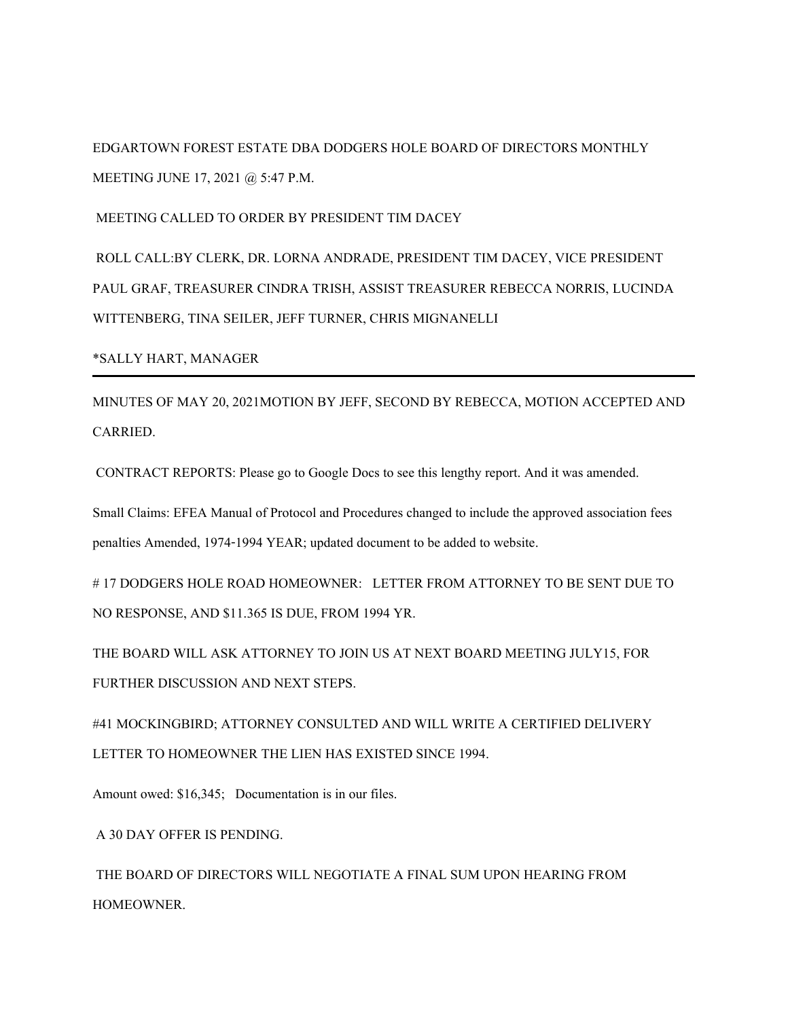EDGARTOWN FOREST ESTATE DBA DODGERS HOLE BOARD OF DIRECTORS MONTHLY MEETING JUNE 17, 2021 @ 5:47 P.M.

MEETING CALLED TO ORDER BY PRESIDENT TIM DACEY

ROLL CALL:BY CLERK, DR. LORNA ANDRADE, PRESIDENT TIM DACEY, VICE PRESIDENT PAUL GRAF, TREASURER CINDRA TRISH, ASSIST TREASURER REBECCA NORRIS, LUCINDA WITTENBERG, TINA SEILER, JEFF TURNER, CHRIS MIGNANELLI

\*SALLY HART, MANAGER

MINUTES OF MAY 20, 2021MOTION BY JEFF, SECOND BY REBECCA, MOTION ACCEPTED AND CARRIED.

CONTRACT REPORTS: Please go to Google Docs to see this lengthy report. And it was amended.

Small Claims: EFEA Manual of Protocol and Procedures changed to include the approved association fees penalties Amended, 1974-1994 YEAR; updated document to be added to website.

# 17 DODGERS HOLE ROAD HOMEOWNER: LETTER FROM ATTORNEY TO BE SENT DUE TO NO RESPONSE, AND \$11.365 IS DUE, FROM 1994 YR.

THE BOARD WILL ASK ATTORNEY TO JOIN US AT NEXT BOARD MEETING JULY15, FOR FURTHER DISCUSSION AND NEXT STEPS.

#41 MOCKINGBIRD; ATTORNEY CONSULTED AND WILL WRITE A CERTIFIED DELIVERY LETTER TO HOMEOWNER THE LIEN HAS EXISTED SINCE 1994.

Amount owed: \$16,345; Documentation is in our files.

A 30 DAY OFFER IS PENDING.

THE BOARD OF DIRECTORS WILL NEGOTIATE A FINAL SUM UPON HEARING FROM HOMEOWNER.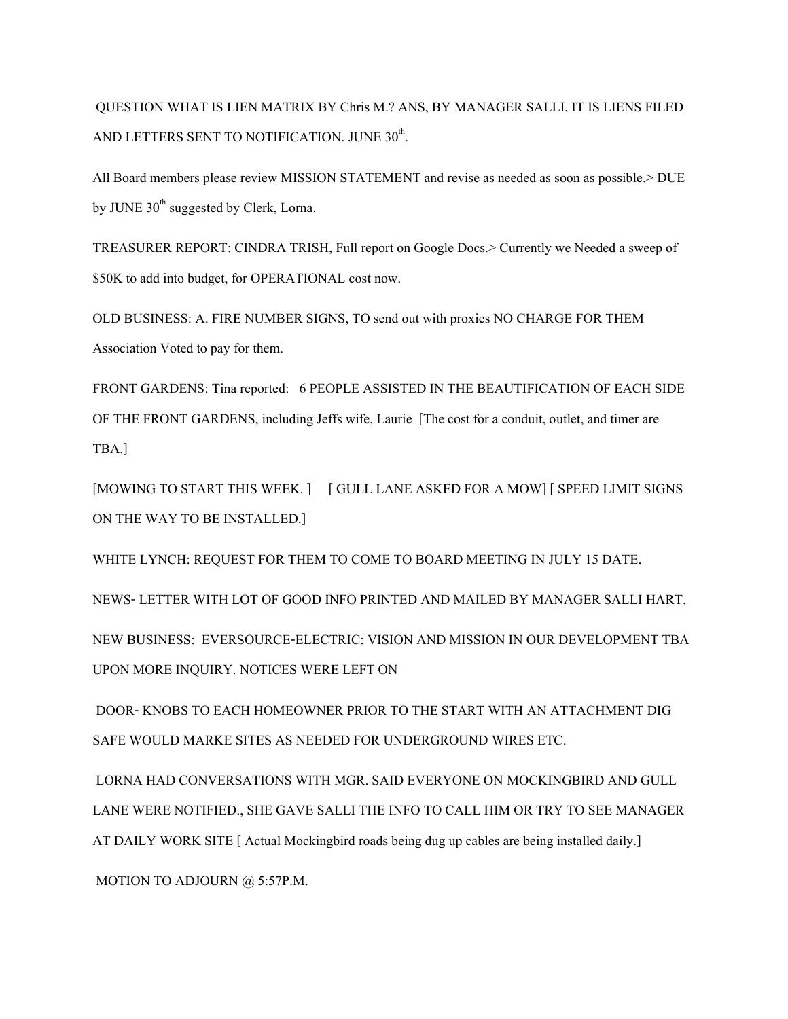QUESTION WHAT IS LIEN MATRIX BY Chris M.? ANS, BY MANAGER SALLI, IT IS LIENS FILED AND LETTERS SENT TO NOTIFICATION. JUNE  $30^{\text{th}}$ . .

All Board members please review MISSION STATEMENT and revise as needed as soon as possible.> DUE by JUNE  $30<sup>th</sup>$  suggested by Clerk, Lorna.

TREASURER REPORT: CINDRA TRISH, Full report on Google Docs.> Currently we Needed a sweep of \$50K to add into budget, for OPERATIONAL cost now.

OLD BUSINESS: A. FIRE NUMBER SIGNS, TO send out with proxies NO CHARGE FOR THEM Association Voted to pay for them.

FRONT GARDENS: Tina reported: 6 PEOPLE ASSISTED IN THE BEAUTIFICATION OF EACH SIDE OF THE FRONT GARDENS, including Jeffs wife, Laurie [The cost for a conduit, outlet, and timer are TBA.]

[MOWING TO START THIS WEEK. ] [ GULL LANE ASKED FOR A MOW] [ SPEED LIMIT SIGNS ON THE WAY TO BE INSTALLED.]

WHITE LYNCH: REQUEST FOR THEM TO COME TO BOARD MEETING IN JULY 15 DATE.

NEWS- LETTER WITH LOT OF GOOD INFO PRINTED AND MAILED BY MANAGER SALLI HART. NEW BUSINESS: EVERSOURCE-ELECTRIC: VISION AND MISSION IN OUR DEVELOPMENT TBA UPON MORE INQUIRY. NOTICES WERE LEFT ON

DOOR- KNOBS TO EACH HOMEOWNER PRIOR TO THE START WITH AN ATTACHMENT DIG SAFE WOULD MARKE SITES AS NEEDED FOR UNDERGROUND WIRES ETC.

LORNA HAD CONVERSATIONS WITH MGR. SAID EVERYONE ON MOCKINGBIRD AND GULL LANE WERE NOTIFIED., SHE GAVE SALLI THE INFO TO CALL HIM OR TRY TO SEE MANAGER AT DAILY WORK SITE [ Actual Mockingbird roads being dug up cables are being installed daily.]

MOTION TO ADJOURN @ 5:57P.M.